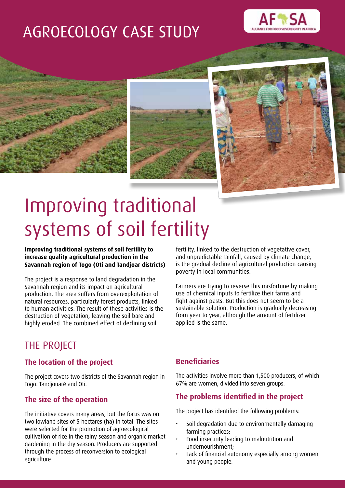# AGROECOLOGY CASE STUDY









# Improving traditional systems of soil fertility

**Improving traditional systems of soil fertility to increase quality agricultural production in the Savannah region of Togo (Oti and Tandjoar districts)**

The project is a response to land degradation in the Savannah region and its impact on agricultural production. The area suffers from overexploitation of natural resources, particularly forest products, linked to human activities. The result of these activities is the destruction of vegetation, leaving the soil bare and highly eroded. The combined effect of declining soil

fertility, linked to the destruction of vegetative cover, and unpredictable rainfall, caused by climate change, is the gradual decline of agricultural production causing poverty in local communities.

Farmers are trying to reverse this misfortune by making use of chemical inputs to fertilize their farms and fight against pests. But this does not seem to be a sustainable solution. Production is gradually decreasing from year to year, although the amount of fertilizer applied is the same.

## THE PROJECT

#### **The location of the project**

The project covers two districts of the Savannah region in Togo: Tandjouaré and Oti.

#### **The size of the operation**

The initiative covers many areas, but the focus was on two lowland sites of 5 hectares (ha) in total. The sites were selected for the promotion of agroecological cultivation of rice in the rainy season and organic market gardening in the dry season. Producers are supported through the process of reconversion to ecological agriculture.

#### **Beneficiaries**

The activities involve more than 1,500 producers, of which 67% are women, divided into seven groups.

#### **The problems identified in the project**

The project has identified the following problems:

- Soil degradation due to environmentally damaging farming practices;
- Food insecurity leading to malnutrition and undernourishment;
- Lack of financial autonomy especially among women and young people.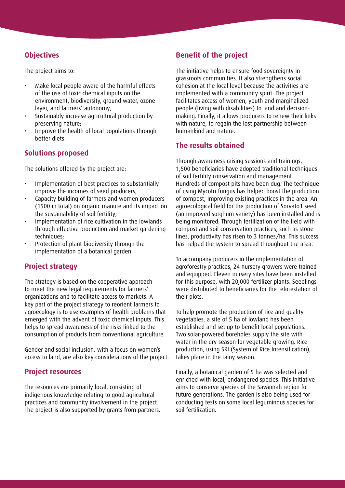#### **Objectives**

The project aims to:

- Make local people aware of the harmful effects of the use of toxic chemical inputs on the environment, biodiversity, ground water, ozone layer, and farmers' autonomy;
- Sustainably increase agricultural production by preserving nature;
- Improve the health of local populations through better diets.

#### **Solutions proposed**

The solutions offered by the project are:

- • Implementation of best practices to substantially improve the incomes of seed producers;
- Capacity building of farmers and women producers (1500 in total) on organic manure and its impact on the sustainability of soil fertility;
- Implementation of rice cultivation in the lowlands through effective production and market-gardening techniques;
- Protection of plant biodiversity through the implementation of a botanical garden.

#### **Project strategy**

The strategy is based on the cooperative approach to meet the new legal requirements for farmers' organizations and to facilitate access to markets. A key part of the project strategy to reorient farmers to agroecology is to use examples of health problems that emerged with the advent of toxic chemical inputs. This helps to spread awareness of the risks linked to the consumption of products from conventional agriculture.

Gender and social inclusion, with a focus on women's access to land, are also key considerations of the project.

#### **Project resources**

The resources are primarily local, consisting of indigenous knowledge relating to good agricultural practices and community involvement in the project. The project is also supported by grants from partners.

#### **Benefit of the project**

The initiative helps to ensure food sovereignty in grassroots communities. It also strengthens social cohesion at the local level because the activities are implemented with a community spirit. The project facilitates access of women, youth and marginalized people (living with disabilities) to land and decisionmaking. Finally, it allows producers to renew their links with nature, to regain the lost partnership between humankind and nature.

#### **The results obtained**

Through awareness raising sessions and trainings, 1,500 beneficiaries have adopted traditional techniques of soil fertility conservation and management. Hundreds of compost pits have been dug. The technique of using Mycotri fungus has helped boost the production of compost, improving existing practices in the area. An agroecological field for the production of Sorvato1 seed (an improved sorghum variety) has been installed and is being monitored. Through fertilization of the field with compost and soil conservation practices, such as stone lines, productivity has risen to 3 tonnes/ha. This success has helped the system to spread throughout the area.

To accompany producers in the implementation of agroforestry practices, 24 nursery growers were trained and equipped. Eleven nursery sites have been installed for this purpose, with 20,000 fertilizer plants. Seedlings were distributed to beneficiaries for the reforestation of their plots.

To help promote the production of rice and quality vegetables, a site of 5 ha of lowland has been established and set up to benefit local populations. Two solar-powered boreholes supply the site with water in the dry season for vegetable growing. Rice production, using SRI (System of Rice Intensification), takes place in the rainy season.

Finally, a botanical garden of 5 ha was selected and enriched with local, endangered species. This initiative aims to conserve species of the Savannah region for future generations. The garden is also being used for conducting tests on some local leguminous species for soil fertilization.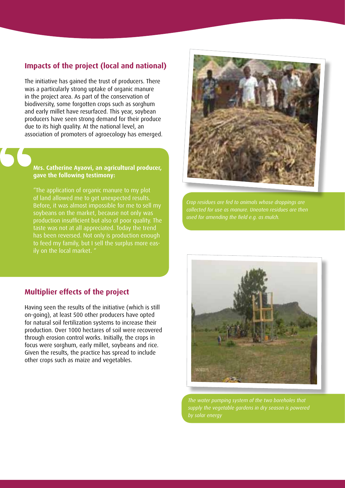#### **Impacts of the project (local and national)**

The initiative has gained the trust of producers. There was a particularly strong uptake of organic manure in the project area. As part of the conservation of biodiversity, some forgotten crops such as sorghum and early millet have resurfaced. This year, soybean producers have seen strong demand for their produce due to its high quality. At the national level, an association of promoters of agroecology has emerged.

#### **Mrs. Catherine Ayaovi, an agricultural producer, gave the following testimony:**

"The application of organic manure to my plot of land allowed me to get unexpected results. Before, it was almost impossible for me to sell my soybeans on the market, because not only was production insufficient but also of poor quality. The taste was not at all appreciated. Today the trend has been reversed. Not only is production enough to feed my family, but I sell the surplus more easily on the local market. "



*Crop residues are fed to animals whose droppings are collected for use as manure. Uneaten residues are then* 

#### **Multiplier effects of the project**

Having seen the results of the initiative (which is still on-going), at least 500 other producers have opted for natural soil fertilization systems to increase their production. Over 1000 hectares of soil were recovered through erosion control works. Initially, the crops in focus were sorghum, early millet, soybeans and rice. Given the results, the practice has spread to include other crops such as maize and vegetables.



*The water pumping system of the two boreholes that supply the vegetable gardens in dry season is powered*